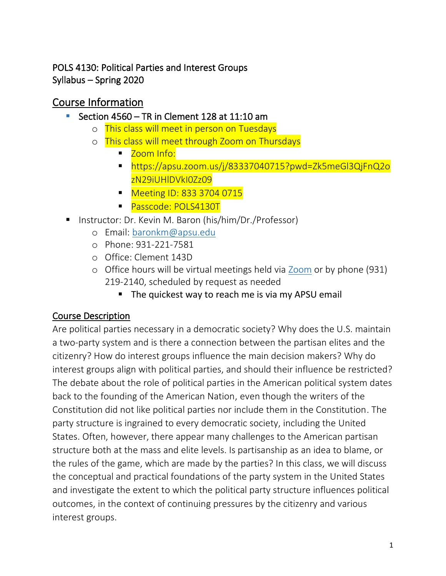### POLS 4130: Political Parties and Interest Groups Syllabus – Spring 2020

# Course Information

- **E** Section 4560 TR in Clement 128 at 11:10 am
	- o This class will meet in person on Tuesdays
	- o This class will meet through Zoom on Thursdays
		- Zoom Info:
		- https://apsu.zoom.us/j/83337040715?pwd=Zk5meGl3QjFnQ2o zN29iUHlDVkI0Zz09
		- Meeting ID: 833 3704 0715
		- Passcode: POLS4130T
- Instructor: Dr. Kevin M. Baron (his/him/Dr./Professor)
	- o Email: [baronkm@apsu.edu](mailto:baronkm@apsu.edu)
	- o Phone: 931-221-7581
	- o Office: Clement 143D
	- o Office hours will be virtual meetings held via [Zoom](https://www.apsu.edu/online/technology/zoom.php) or by phone (931) 219-2140, scheduled by request as needed
		- The quickest way to reach me is via my APSU email

## Course Description

Are political parties necessary in a democratic society? Why does the U.S. maintain a two-party system and is there a connection between the partisan elites and the citizenry? How do interest groups influence the main decision makers? Why do interest groups align with political parties, and should their influence be restricted? The debate about the role of political parties in the American political system dates back to the founding of the American Nation, even though the writers of the Constitution did not like political parties nor include them in the Constitution. The party structure is ingrained to every democratic society, including the United States. Often, however, there appear many challenges to the American partisan structure both at the mass and elite levels. Is partisanship as an idea to blame, or the rules of the game, which are made by the parties? In this class, we will discuss the conceptual and practical foundations of the party system in the United States and investigate the extent to which the political party structure influences political outcomes, in the context of continuing pressures by the citizenry and various interest groups.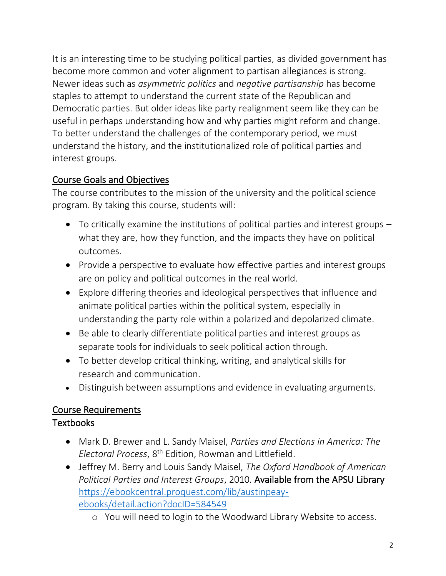It is an interesting time to be studying political parties, as divided government has become more common and voter alignment to partisan allegiances is strong. Newer ideas such as *asymmetric politics* and *negative partisanship* has become staples to attempt to understand the current state of the Republican and Democratic parties. But older ideas like party realignment seem like they can be useful in perhaps understanding how and why parties might reform and change. To better understand the challenges of the contemporary period, we must understand the history, and the institutionalized role of political parties and interest groups.

### Course Goals and Objectives

The course contributes to the mission of the university and the political science program. By taking this course, students will:

- To critically examine the institutions of political parties and interest groups what they are, how they function, and the impacts they have on political outcomes.
- Provide a perspective to evaluate how effective parties and interest groups are on policy and political outcomes in the real world.
- Explore differing theories and ideological perspectives that influence and animate political parties within the political system, especially in understanding the party role within a polarized and depolarized climate.
- Be able to clearly differentiate political parties and interest groups as separate tools for individuals to seek political action through.
- To better develop critical thinking, writing, and analytical skills for research and communication.
- Distinguish between assumptions and evidence in evaluating arguments.

### Course Requirements

### Textbooks

- Mark D. Brewer and L. Sandy Maisel, *Parties and Elections in America: The Electoral Process*, 8th Edition, Rowman and Littlefield.
- Jeffrey M. Berry and Louis Sandy Maisel, *The Oxford Handbook of American Political Parties and Interest Groups*, 2010. Available from the APSU Library [https://ebookcentral.proquest.com/lib/austinpeay](https://ebookcentral.proquest.com/lib/austinpeay-ebooks/detail.action?docID=584549)[ebooks/detail.action?docID=584549](https://ebookcentral.proquest.com/lib/austinpeay-ebooks/detail.action?docID=584549)
	- o You will need to login to the Woodward Library Website to access.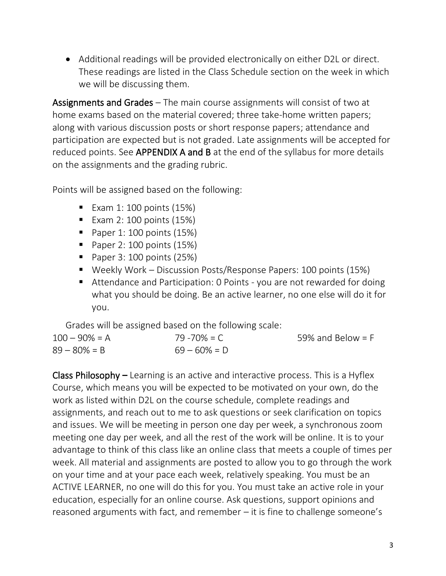• Additional readings will be provided electronically on either D2L or direct. These readings are listed in the Class Schedule section on the week in which we will be discussing them.

Assignments and Grades – The main course assignments will consist of two at home exams based on the material covered; three take-home written papers; along with various discussion posts or short response papers; attendance and participation are expected but is not graded. Late assignments will be accepted for reduced points. See **APPENDIX A and B** at the end of the syllabus for more details on the assignments and the grading rubric.

Points will be assigned based on the following:

- $\blacksquare$  Exam 1: 100 points (15%)
- $\blacksquare$  Exam 2: 100 points (15%)
- $\blacksquare$  Paper 1: 100 points (15%)
- $\blacksquare$  Paper 2: 100 points (15%)
- $\blacksquare$  Paper 3: 100 points (25%)
- Weekly Work Discussion Posts/Response Papers: 100 points (15%)
- Attendance and Participation: 0 Points you are not rewarded for doing what you should be doing. Be an active learner, no one else will do it for you.

Grades will be assigned based on the following scale:

| $100 - 90\% = A$ | $79 - 70\% = C$ | 59% and Below = $F$ |
|------------------|-----------------|---------------------|
| $89 - 80\% = B$  | $69 - 60\% = D$ |                     |

Class Philosophy **–** Learning is an active and interactive process. This is a Hyflex Course, which means you will be expected to be motivated on your own, do the work as listed within D2L on the course schedule, complete readings and assignments, and reach out to me to ask questions or seek clarification on topics and issues. We will be meeting in person one day per week, a synchronous zoom meeting one day per week, and all the rest of the work will be online. It is to your advantage to think of this class like an online class that meets a couple of times per week. All material and assignments are posted to allow you to go through the work on your time and at your pace each week, relatively speaking. You must be an ACTIVE LEARNER, no one will do this for you. You must take an active role in your education, especially for an online course. Ask questions, support opinions and reasoned arguments with fact, and remember – it is fine to challenge someone's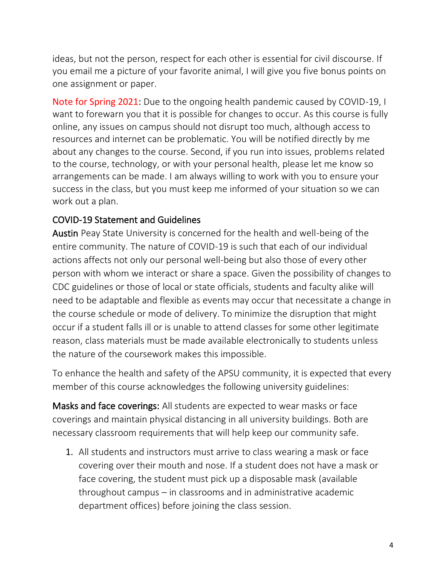ideas, but not the person, respect for each other is essential for civil discourse. If you email me a picture of your favorite animal, I will give you five bonus points on one assignment or paper.

Note for Spring 2021: Due to the ongoing health pandemic caused by COVID-19, I want to forewarn you that it is possible for changes to occur. As this course is fully online, any issues on campus should not disrupt too much, although access to resources and internet can be problematic. You will be notified directly by me about any changes to the course. Second, if you run into issues, problems related to the course, technology, or with your personal health, please let me know so arrangements can be made. I am always willing to work with you to ensure your success in the class, but you must keep me informed of your situation so we can work out a plan.

#### COVID-19 Statement and Guidelines

Austin Peay State University is concerned for the health and well-being of the entire community. The nature of COVID-19 is such that each of our individual actions affects not only our personal well-being but also those of every other person with whom we interact or share a space. Given the possibility of changes to CDC guidelines or those of local or state officials, students and faculty alike will need to be adaptable and flexible as events may occur that necessitate a change in the course schedule or mode of delivery. To minimize the disruption that might occur if a student falls ill or is unable to attend classes for some other legitimate reason, class materials must be made available electronically to students unless the nature of the coursework makes this impossible.

To enhance the health and safety of the APSU community, it is expected that every member of this course acknowledges the following university guidelines:

Masks and face coverings: All students are expected to wear masks or face coverings and maintain physical distancing in all university buildings. Both are necessary classroom requirements that will help keep our community safe.

1. All students and instructors must arrive to class wearing a mask or face covering over their mouth and nose. If a student does not have a mask or face covering, the student must pick up a disposable mask (available throughout campus – in classrooms and in administrative academic department offices) before joining the class session.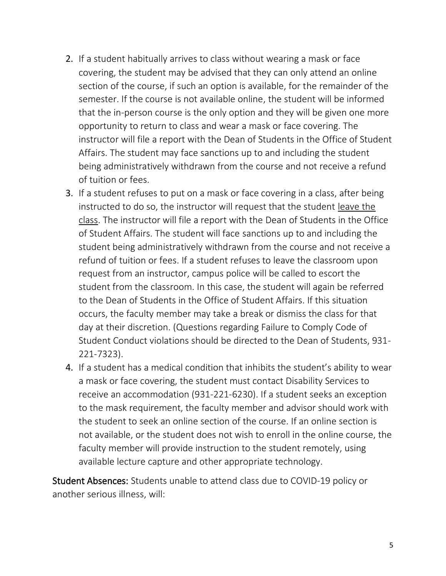- 2. If a student habitually arrives to class without wearing a mask or face covering, the student may be advised that they can only attend an online section of the course, if such an option is available, for the remainder of the semester. If the course is not available online, the student will be informed that the in-person course is the only option and they will be given one more opportunity to return to class and wear a mask or face covering. The instructor will file a report with the Dean of Students in the Office of Student Affairs. The student may face sanctions up to and including the student being administratively withdrawn from the course and not receive a refund of tuition or fees.
- 3. If a student refuses to put on a mask or face covering in a class, after being instructed to do so, the instructor will request that the student leave the class. The instructor will file a report with the Dean of Students in the Office of Student Affairs. The student will face sanctions up to and including the student being administratively withdrawn from the course and not receive a refund of tuition or fees. If a student refuses to leave the classroom upon request from an instructor, campus police will be called to escort the student from the classroom. In this case, the student will again be referred to the Dean of Students in the Office of Student Affairs. If this situation occurs, the faculty member may take a break or dismiss the class for that day at their discretion. (Questions regarding Failure to Comply Code of Student Conduct violations should be directed to the Dean of Students, 931- 221-7323).
- 4. If a student has a medical condition that inhibits the student's ability to wear a mask or face covering, the student must contact Disability Services to receive an accommodation (931-221-6230). If a student seeks an exception to the mask requirement, the faculty member and advisor should work with the student to seek an online section of the course. If an online section is not available, or the student does not wish to enroll in the online course, the faculty member will provide instruction to the student remotely, using available lecture capture and other appropriate technology.

Student Absences: Students unable to attend class due to COVID-19 policy or another serious illness, will: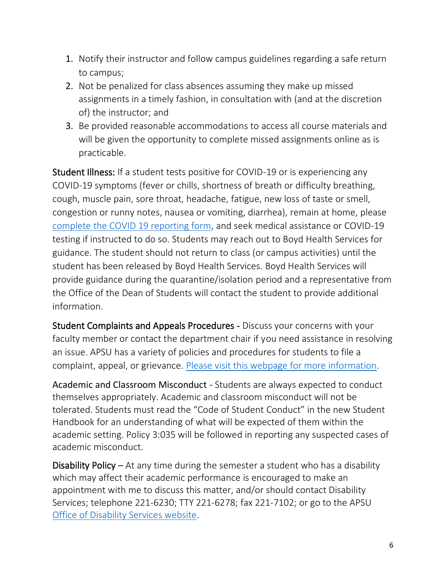- 1. Notify their instructor and follow campus guidelines regarding a safe return to campus;
- 2. Not be penalized for class absences assuming they make up missed assignments in a timely fashion, in consultation with (and at the discretion of) the instructor; and
- 3. Be provided reasonable accommodations to access all course materials and will be given the opportunity to complete missed assignments online as is practicable.

Student Illness: If a student tests positive for COVID-19 or is experiencing any COVID-19 symptoms (fever or chills, shortness of breath or difficulty breathing, cough, muscle pain, sore throat, headache, fatigue, new loss of taste or smell, congestion or runny notes, nausea or vomiting, diarrhea), remain at home, please [complete the COVID 19 reporting form,](https://cm.maxient.com/reportingform.php?AustinPeayStateUniv&layout_id=19) and seek medical assistance or COVID-19 testing if instructed to do so. Students may reach out to Boyd Health Services for guidance. The student should not return to class (or campus activities) until the student has been released by Boyd Health Services. Boyd Health Services will provide guidance during the quarantine/isolation period and a representative from the Office of the Dean of Students will contact the student to provide additional information.

Student Complaints and Appeals Procedures - Discuss your concerns with your faculty member or contact the department chair if you need assistance in resolving an issue. APSU has a variety of policies and procedures for students to file a complaint, appeal, or grievance. [Please visit this webpage for more information.](https://www.apsu.edu/student-affairs/dean-of-students/student-appeals-and-complaint-procedures/)

Academic and Classroom Misconduct - Students are always expected to conduct themselves appropriately. Academic and classroom misconduct will not be tolerated. Students must read the "Code of Student Conduct" in the new Student Handbook for an understanding of what will be expected of them within the academic setting. Policy 3:035 will be followed in reporting any suspected cases of academic misconduct.

Disability Policy – At any time during the semester a student who has a disability which may affect their academic performance is encouraged to make an appointment with me to discuss this matter, and/or should contact Disability Services; telephone 221-6230; TTY 221-6278; fax 221-7102; or go to the APSU [Office of Disability Services website.](http://www.apsu.edu/disability)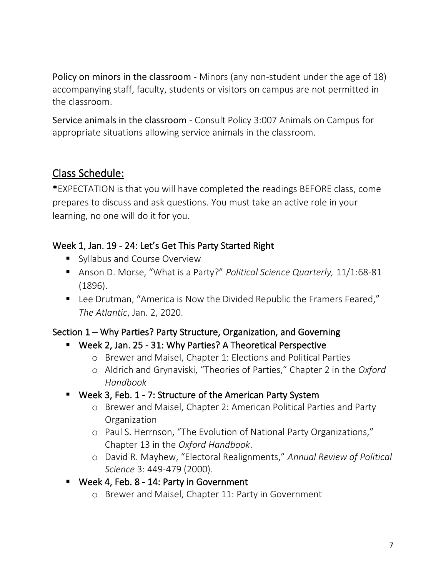Policy on minors in the classroom - Minors (any non-student under the age of 18) accompanying staff, faculty, students or visitors on campus are not permitted in the classroom.

Service animals in the classroom - Consult Policy 3:007 Animals on Campus for appropriate situations allowing service animals in the classroom.

## Class Schedule:

\*EXPECTATION is that you will have completed the readings BEFORE class, come prepares to discuss and ask questions. You must take an active role in your learning, no one will do it for you.

### Week 1, Jan. 19 - 24: Let's Get This Party Started Right

- Syllabus and Course Overview
- Anson D. Morse, "What is a Party?" *Political Science Quarterly,* 11/1:68-81 (1896).
- Lee Drutman, "America is Now the Divided Republic the Framers Feared," *The Atlantic*, Jan. 2, 2020.

### Section 1 – Why Parties? Party Structure, Organization, and Governing

- Week 2, Jan. 25 31: Why Parties? A Theoretical Perspective
	- o Brewer and Maisel, Chapter 1: Elections and Political Parties
	- o Aldrich and Grynaviski, "Theories of Parties," Chapter 2 in the *Oxford Handbook*
- Week 3, Feb. 1 7: Structure of the American Party System
	- o Brewer and Maisel, Chapter 2: American Political Parties and Party Organization
	- o Paul S. Herrnson, "The Evolution of National Party Organizations," Chapter 13 in the *Oxford Handbook*.
	- o David R. Mayhew, "Electoral Realignments," *Annual Review of Political Science* 3: 449-479 (2000).
- Week 4, Feb. 8 14: Party in Government
	- o Brewer and Maisel, Chapter 11: Party in Government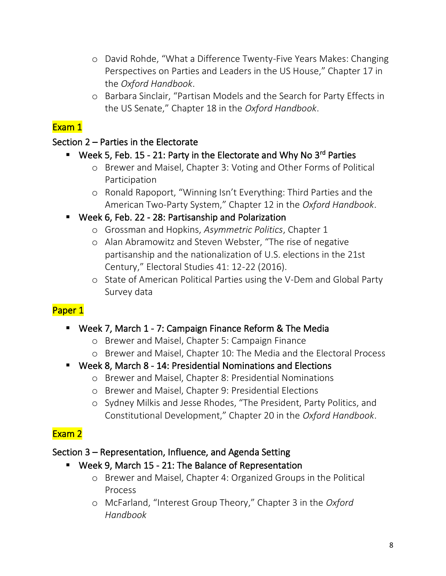- o David Rohde, "What a Difference Twenty-Five Years Makes: Changing Perspectives on Parties and Leaders in the US House," Chapter 17 in the *Oxford Handbook*.
- o Barbara Sinclair, "Partisan Models and the Search for Party Effects in the US Senate," Chapter 18 in the *Oxford Handbook*.

### Exam 1

#### Section 2 – Parties in the Electorate

### ■ Week 5, Feb. 15 - 21: Party in the Electorate and Why No 3<sup>rd</sup> Parties

- o Brewer and Maisel, Chapter 3: Voting and Other Forms of Political Participation
- o Ronald Rapoport, "Winning Isn't Everything: Third Parties and the American Two-Party System," Chapter 12 in the *Oxford Handbook*.

### Week 6, Feb. 22 - 28: Partisanship and Polarization

- o Grossman and Hopkins, *Asymmetric Politics*, Chapter 1
- o Alan Abramowitz and Steven Webster, "The rise of negative partisanship and the nationalization of U.S. elections in the 21st Century," Electoral Studies 41: 12-22 (2016).
- o State of American Political Parties using the V-Dem and Global Party Survey data

## Paper 1

### ■ Week 7, March 1 - 7: Campaign Finance Reform & The Media

- o Brewer and Maisel, Chapter 5: Campaign Finance
- o Brewer and Maisel, Chapter 10: The Media and the Electoral Process

### ■ Week 8, March 8 - 14: Presidential Nominations and Elections

- o Brewer and Maisel, Chapter 8: Presidential Nominations
- o Brewer and Maisel, Chapter 9: Presidential Elections
- o Sydney Milkis and Jesse Rhodes, "The President, Party Politics, and Constitutional Development," Chapter 20 in the *Oxford Handbook*.

## Exam 2

### Section 3 – Representation, Influence, and Agenda Setting

### ▪ Week 9, March 15 - 21: The Balance of Representation

- o Brewer and Maisel, Chapter 4: Organized Groups in the Political Process
- o McFarland, "Interest Group Theory," Chapter 3 in the *Oxford Handbook*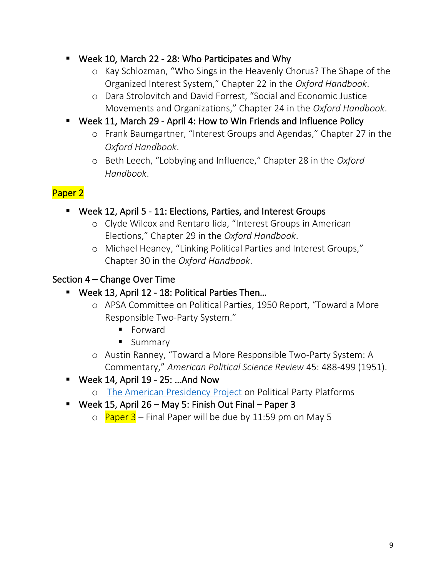- Week 10, March 22 28: Who Participates and Why
	- o Kay Schlozman, "Who Sings in the Heavenly Chorus? The Shape of the Organized Interest System," Chapter 22 in the *Oxford Handbook*.
	- o Dara Strolovitch and David Forrest, "Social and Economic Justice Movements and Organizations," Chapter 24 in the *Oxford Handbook*.
- Week 11, March 29 April 4: How to Win Friends and Influence Policy
	- o Frank Baumgartner, "Interest Groups and Agendas," Chapter 27 in the *Oxford Handbook*.
	- o Beth Leech, "Lobbying and Influence," Chapter 28 in the *Oxford Handbook*.

## Paper 2

- Week 12, April 5 11: Elections, Parties, and Interest Groups
	- o Clyde Wilcox and Rentaro Iida, "Interest Groups in American Elections," Chapter 29 in the *Oxford Handbook*.
	- o Michael Heaney, "Linking Political Parties and Interest Groups," Chapter 30 in the *Oxford Handbook*.

## Section 4 – Change Over Time

- Week 13, April 12 18: Political Parties Then...
	- o APSA Committee on Political Parties, 1950 Report, "Toward a More Responsible Two-Party System."
		- Forward
		- Summary
	- o Austin Ranney, "Toward a More Responsible Two-Party System: A Commentary," *American Political Science Review* 45: 488-499 (1951).
- $\blacksquare$  Week 14, April 19 25: ...And Now
	- o [The American Presidency Project](https://www.presidency.ucsb.edu/documents/app-categories/elections-and-transitions/party-platforms) on Political Party Platforms
- Week 15, April 26 May 5: Finish Out Final Paper 3
	- $\circ$  Paper 3 Final Paper will be due by 11:59 pm on May 5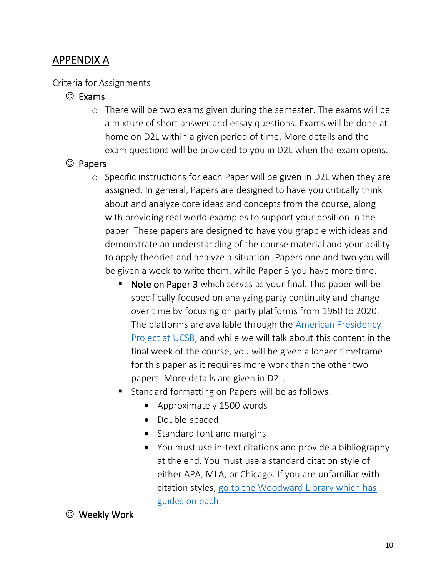## APPENDIX A

#### Criteria for Assignments

#### ☺ Exams

o There will be two exams given during the semester. The exams will be a mixture of short answer and essay questions. Exams will be done at home on D2L within a given period of time. More details and the exam questions will be provided to you in D2L when the exam opens.

#### ☺ Papers

- o Specific instructions for each Paper will be given in D2L when they are assigned. In general, Papers are designed to have you critically think about and analyze core ideas and concepts from the course, along with providing real world examples to support your position in the paper. These papers are designed to have you grapple with ideas and demonstrate an understanding of the course material and your ability to apply theories and analyze a situation. Papers one and two you will be given a week to write them, while Paper 3 you have more time.
	- Note on Paper 3 which serves as your final. This paper will be specifically focused on analyzing party continuity and change over time by focusing on party platforms from 1960 to 2020. The platforms are available through the [American Presidency](https://www.presidency.ucsb.edu/documents/app-categories/elections-and-transitions/party-platforms)  [Project at UCSB,](https://www.presidency.ucsb.edu/documents/app-categories/elections-and-transitions/party-platforms) and while we will talk about this content in the final week of the course, you will be given a longer timeframe for this paper as it requires more work than the other two papers. More details are given in D2L.
	- Standard formatting on Papers will be as follows:
		- Approximately 1500 words
		- Double-spaced
		- Standard font and margins
		- You must use in-text citations and provide a bibliography at the end. You must use a standard citation style of either APA, MLA, or Chicago. If you are unfamiliar with citation styles, [go to the Woodward Library which has](https://library.apsu.edu/services/howto/citing_sources.html)  [guides on each.](https://library.apsu.edu/services/howto/citing_sources.html)

#### ☺ Weekly Work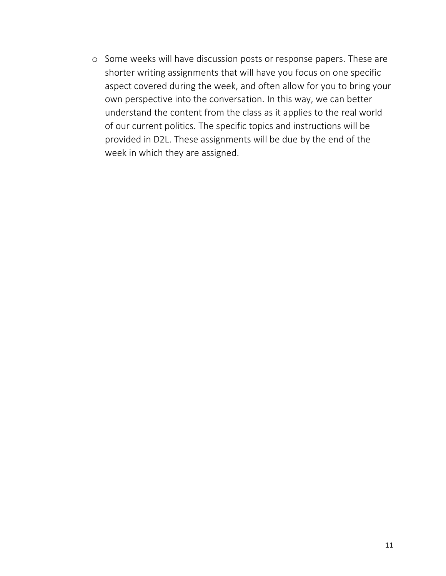o Some weeks will have discussion posts or response papers. These are shorter writing assignments that will have you focus on one specific aspect covered during the week, and often allow for you to bring your own perspective into the conversation. In this way, we can better understand the content from the class as it applies to the real world of our current politics. The specific topics and instructions will be provided in D2L. These assignments will be due by the end of the week in which they are assigned.